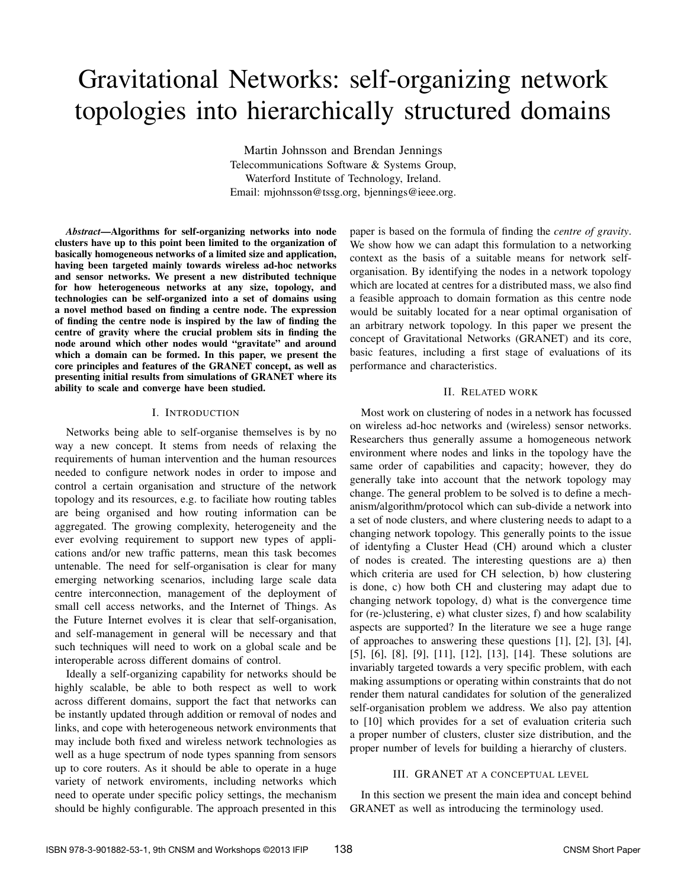# Gravitational Networks: self-organizing network topologies into hierarchically structured domains

Martin Johnsson and Brendan Jennings Telecommunications Software & Systems Group, Waterford Institute of Technology, Ireland. Email: mjohnsson@tssg.org, bjennings@ieee.org.

*Abstract*—Algorithms for self-organizing networks into node clusters have up to this point been limited to the organization of basically homogeneous networks of a limited size and application, having been targeted mainly towards wireless ad-hoc networks and sensor networks. We present a new distributed technique for how heterogeneous networks at any size, topology, and technologies can be self-organized into a set of domains using a novel method based on finding a centre node. The expression of finding the centre node is inspired by the law of finding the centre of gravity where the crucial problem sits in finding the node around which other nodes would "gravitate" and around which a domain can be formed. In this paper, we present the core principles and features of the GRANET concept, as well as presenting initial results from simulations of GRANET where its ability to scale and converge have been studied.

## I. INTRODUCTION

Networks being able to self-organise themselves is by no way a new concept. It stems from needs of relaxing the requirements of human intervention and the human resources needed to configure network nodes in order to impose and control a certain organisation and structure of the network topology and its resources, e.g. to faciliate how routing tables are being organised and how routing information can be aggregated. The growing complexity, heterogeneity and the ever evolving requirement to support new types of applications and/or new traffic patterns, mean this task becomes untenable. The need for self-organisation is clear for many emerging networking scenarios, including large scale data centre interconnection, management of the deployment of small cell access networks, and the Internet of Things. As the Future Internet evolves it is clear that self-organisation, and self-management in general will be necessary and that such techniques will need to work on a global scale and be interoperable across different domains of control.

Ideally a self-organizing capability for networks should be highly scalable, be able to both respect as well to work across different domains, support the fact that networks can be instantly updated through addition or removal of nodes and links, and cope with heterogeneous network environments that may include both fixed and wireless network technologies as well as a huge spectrum of node types spanning from sensors up to core routers. As it should be able to operate in a huge variety of network enviroments, including networks which need to operate under specific policy settings, the mechanism should be highly configurable. The approach presented in this

paper is based on the formula of finding the *centre of gravity*. We show how we can adapt this formulation to a networking context as the basis of a suitable means for network selforganisation. By identifying the nodes in a network topology which are located at centres for a distributed mass, we also find a feasible approach to domain formation as this centre node would be suitably located for a near optimal organisation of an arbitrary network topology. In this paper we present the concept of Gravitational Networks (GRANET) and its core, basic features, including a first stage of evaluations of its performance and characteristics.

## II. RELATED WORK

Most work on clustering of nodes in a network has focussed on wireless ad-hoc networks and (wireless) sensor networks. Researchers thus generally assume a homogeneous network environment where nodes and links in the topology have the same order of capabilities and capacity; however, they do generally take into account that the network topology may change. The general problem to be solved is to define a mechanism/algorithm/protocol which can sub-divide a network into a set of node clusters, and where clustering needs to adapt to a changing network topology. This generally points to the issue of identyfing a Cluster Head (CH) around which a cluster of nodes is created. The interesting questions are a) then which criteria are used for CH selection, b) how clustering is done, c) how both CH and clustering may adapt due to changing network topology, d) what is the convergence time for (re-)clustering, e) what cluster sizes, f) and how scalability aspects are supported? In the literature we see a huge range of approaches to answering these questions [1], [2], [3], [4], [5], [6], [8], [9], [11], [12], [13], [14]. These solutions are invariably targeted towards a very specific problem, with each making assumptions or operating within constraints that do not render them natural candidates for solution of the generalized self-organisation problem we address. We also pay attention to [10] which provides for a set of evaluation criteria such a proper number of clusters, cluster size distribution, and the proper number of levels for building a hierarchy of clusters.

#### III. GRANET AT A CONCEPTUAL LEVEL

In this section we present the main idea and concept behind GRANET as well as introducing the terminology used.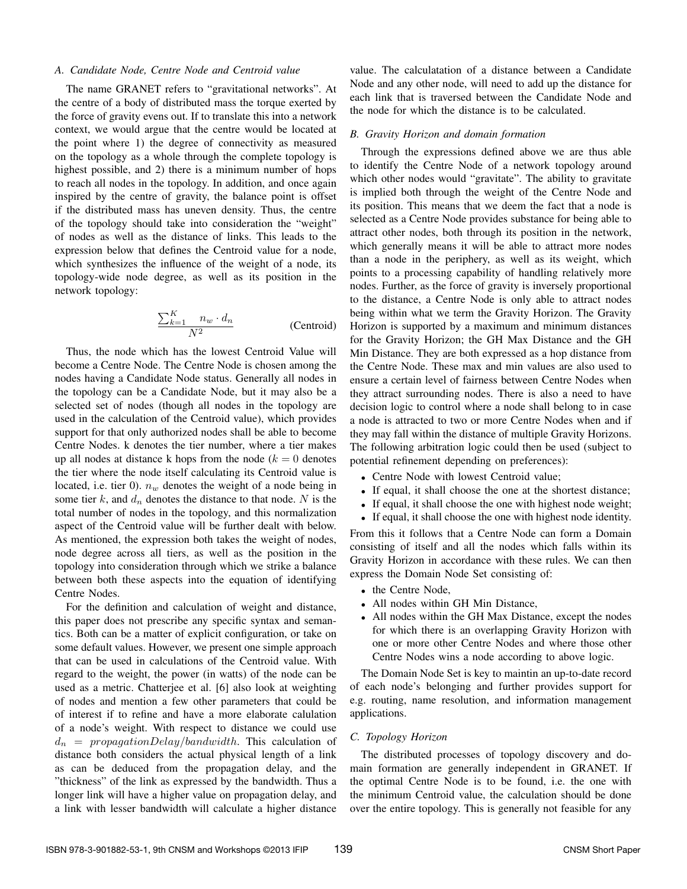#### *A. Candidate Node, Centre Node and Centroid value*

The name GRANET refers to "gravitational networks". At the centre of a body of distributed mass the torque exerted by the force of gravity evens out. If to translate this into a network context, we would argue that the centre would be located at the point where 1) the degree of connectivity as measured on the topology as a whole through the complete topology is highest possible, and 2) there is a minimum number of hops to reach all nodes in the topology. In addition, and once again inspired by the centre of gravity, the balance point is offset if the distributed mass has uneven density. Thus, the centre of the topology should take into consideration the "weight" of nodes as well as the distance of links. This leads to the expression below that defines the Centroid value for a node, which synthesizes the influence of the weight of a node, its topology-wide node degree, as well as its position in the network topology:

$$
\frac{\sum_{k=1}^{K} n_w \cdot d_n}{N^2}
$$
 (Centroid)

Thus, the node which has the lowest Centroid Value will become a Centre Node. The Centre Node is chosen among the nodes having a Candidate Node status. Generally all nodes in the topology can be a Candidate Node, but it may also be a selected set of nodes (though all nodes in the topology are used in the calculation of the Centroid value), which provides support for that only authorized nodes shall be able to become Centre Nodes. k denotes the tier number, where a tier makes up all nodes at distance k hops from the node ( $k = 0$  denotes the tier where the node itself calculating its Centroid value is located, i.e. tier 0).  $n_w$  denotes the weight of a node being in some tier k, and  $d_n$  denotes the distance to that node. N is the total number of nodes in the topology, and this normalization aspect of the Centroid value will be further dealt with below. As mentioned, the expression both takes the weight of nodes, node degree across all tiers, as well as the position in the topology into consideration through which we strike a balance between both these aspects into the equation of identifying Centre Nodes.

For the definition and calculation of weight and distance, this paper does not prescribe any specific syntax and semantics. Both can be a matter of explicit configuration, or take on some default values. However, we present one simple approach that can be used in calculations of the Centroid value. With regard to the weight, the power (in watts) of the node can be used as a metric. Chatterjee et al. [6] also look at weighting of nodes and mention a few other parameters that could be of interest if to refine and have a more elaborate calulation of a node's weight. With respect to distance we could use  $d_n = propagationDelay/bandwidth$ . This calculation of distance both considers the actual physical length of a link as can be deduced from the propagation delay, and the "thickness" of the link as expressed by the bandwidth. Thus a longer link will have a higher value on propagation delay, and a link with lesser bandwidth will calculate a higher distance

value. The calculatation of a distance between a Candidate Node and any other node, will need to add up the distance for each link that is traversed between the Candidate Node and the node for which the distance is to be calculated.

# *B. Gravity Horizon and domain formation*

Through the expressions defined above we are thus able to identify the Centre Node of a network topology around which other nodes would "gravitate". The ability to gravitate is implied both through the weight of the Centre Node and its position. This means that we deem the fact that a node is selected as a Centre Node provides substance for being able to attract other nodes, both through its position in the network, which generally means it will be able to attract more nodes than a node in the periphery, as well as its weight, which points to a processing capability of handling relatively more nodes. Further, as the force of gravity is inversely proportional to the distance, a Centre Node is only able to attract nodes being within what we term the Gravity Horizon. The Gravity Horizon is supported by a maximum and minimum distances for the Gravity Horizon; the GH Max Distance and the GH Min Distance. They are both expressed as a hop distance from the Centre Node. These max and min values are also used to ensure a certain level of fairness between Centre Nodes when they attract surrounding nodes. There is also a need to have decision logic to control where a node shall belong to in case a node is attracted to two or more Centre Nodes when and if they may fall within the distance of multiple Gravity Horizons. The following arbitration logic could then be used (subject to potential refinement depending on preferences):

- Centre Node with lowest Centroid value;
- If equal, it shall choose the one at the shortest distance;
- If equal, it shall choose the one with highest node weight;
- If equal, it shall choose the one with highest node identity.

From this it follows that a Centre Node can form a Domain consisting of itself and all the nodes which falls within its Gravity Horizon in accordance with these rules. We can then express the Domain Node Set consisting of:

- the Centre Node.
- All nodes within GH Min Distance,
- All nodes within the GH Max Distance, except the nodes for which there is an overlapping Gravity Horizon with one or more other Centre Nodes and where those other Centre Nodes wins a node according to above logic.

The Domain Node Set is key to maintin an up-to-date record of each node's belonging and further provides support for e.g. routing, name resolution, and information management applications.

#### *C. Topology Horizon*

The distributed processes of topology discovery and domain formation are generally independent in GRANET. If the optimal Centre Node is to be found, i.e. the one with the minimum Centroid value, the calculation should be done over the entire topology. This is generally not feasible for any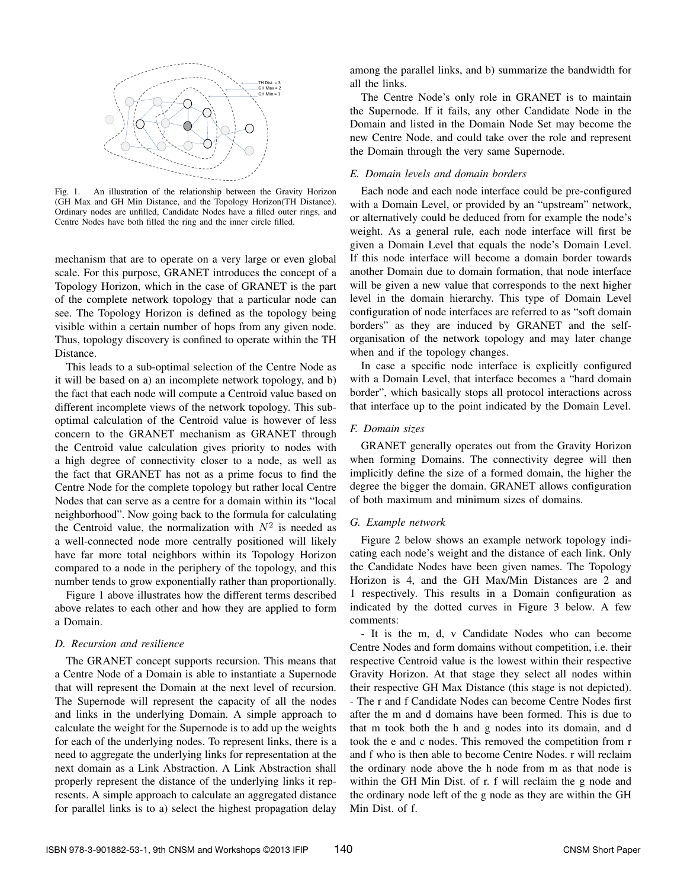

Fig. 1. An illustration of the relationship between the Gravity Horizon (GH Max and GH Min Distance, and the Topology Horizon(TH Distance). Ordinary nodes are unfilled, Candidate Nodes have a filled outer rings, and Centre Nodes have both filled the ring and the inner circle filled.

mechanism that are to operate on a very large or even global scale. For this purpose, GRANET introduces the concept of a Topology Horizon, which in the case of GRANET is the part of the complete network topology that a particular node can see. The Topology Horizon is defined as the topology being visible within a certain number of hops from any given node. Thus, topology discovery is confined to operate within the TH Distance.

This leads to a sub-optimal selection of the Centre Node as it will be based on a) an incomplete network topology, and b) the fact that each node will compute a Centroid value based on different incomplete views of the network topology. This suboptimal calculation of the Centroid value is however of less concern to the GRANET mechanism as GRANET through the Centroid value calculation gives priority to nodes with a high degree of connectivity closer to a node, as well as the fact that GRANET has not as a prime focus to find the Centre Node for the complete topology but rather local Centre Nodes that can serve as a centre for a domain within its "local neighborhood". Now going back to the formula for calculating the Centroid value, the normalization with  $N^2$  is needed as a well-connected node more centrally positioned will likely have far more total neighbors within its Topology Horizon compared to a node in the periphery of the topology, and this number tends to grow exponentially rather than proportionally.

Figure 1 above illustrates how the different terms described above relates to each other and how they are applied to form a Domain.

# *D. Recursion and resilience*

The GRANET concept supports recursion. This means that a Centre Node of a Domain is able to instantiate a Supernode that will represent the Domain at the next level of recursion. The Supernode will represent the capacity of all the nodes and links in the underlying Domain. A simple approach to calculate the weight for the Supernode is to add up the weights for each of the underlying nodes. To represent links, there is a need to aggregate the underlying links for representation at the next domain as a Link Abstraction. A Link Abstraction shall properly represent the distance of the underlying links it represents. A simple approach to calculate an aggregated distance for parallel links is to a) select the highest propagation delay

among the parallel links, and b) summarize the bandwidth for all the links.

The Centre Node's only role in GRANET is to maintain the Supernode. If it fails, any other Candidate Node in the Domain and listed in the Domain Node Set may become the new Centre Node, and could take over the role and represent the Domain through the very same Supernode.

## *E. Domain levels and domain borders*

Each node and each node interface could be pre-configured with a Domain Level, or provided by an "upstream" network, or alternatively could be deduced from for example the node's weight. As a general rule, each node interface will first be given a Domain Level that equals the node's Domain Level. If this node interface will become a domain border towards another Domain due to domain formation, that node interface will be given a new value that corresponds to the next higher level in the domain hierarchy. This type of Domain Level configuration of node interfaces are referred to as "soft domain borders" as they are induced by GRANET and the selforganisation of the network topology and may later change when and if the topology changes.

In case a specific node interface is explicitly configured with a Domain Level, that interface becomes a "hard domain border", which basically stops all protocol interactions across that interface up to the point indicated by the Domain Level.

## *F. Domain sizes*

GRANET generally operates out from the Gravity Horizon when forming Domains. The connectivity degree will then implicitly define the size of a formed domain, the higher the degree the bigger the domain. GRANET allows configuration of both maximum and minimum sizes of domains.

# *G. Example network*

Figure 2 below shows an example network topology indicating each node's weight and the distance of each link. Only the Candidate Nodes have been given names. The Topology Horizon is 4, and the GH Max/Min Distances are 2 and 1 respectively. This results in a Domain configuration as indicated by the dotted curves in Figure 3 below. A few comments:

- It is the m, d, v Candidate Nodes who can become Centre Nodes and form domains without competition, i.e. their respective Centroid value is the lowest within their respective Gravity Horizon. At that stage they select all nodes within their respective GH Max Distance (this stage is not depicted). - The r and f Candidate Nodes can become Centre Nodes first after the m and d domains have been formed. This is due to that m took both the h and g nodes into its domain, and d took the e and c nodes. This removed the competition from r and f who is then able to become Centre Nodes. r will reclaim the ordinary node above the h node from m as that node is within the GH Min Dist. of r. f will reclaim the g node and the ordinary node left of the g node as they are within the GH Min Dist. of f.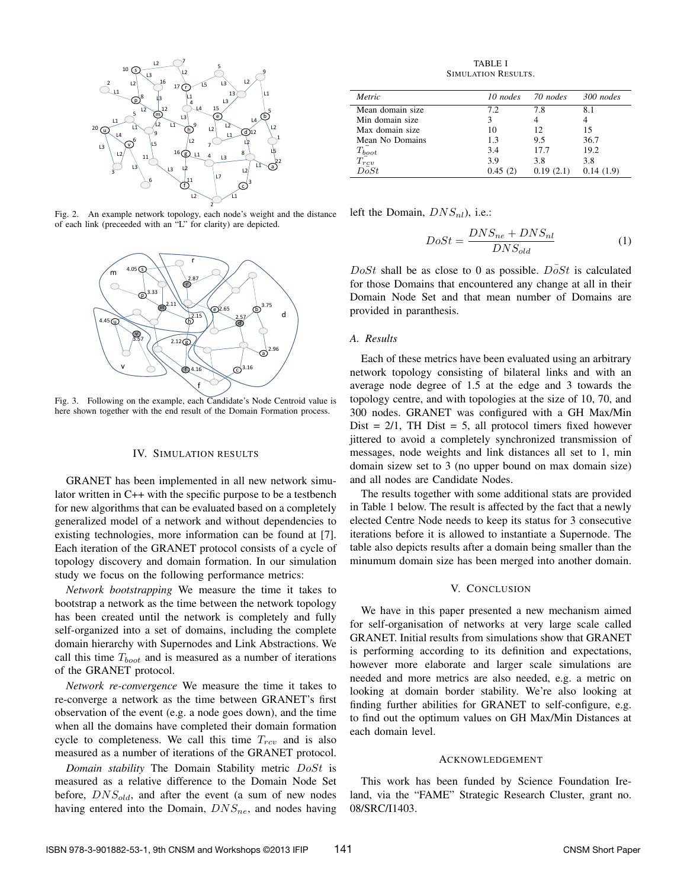

Fig. 2. An example network topology, each node's weight and the distance of each link (preceeded with an "L" for clarity) are depicted.



Fig. 3. Following on the example, each Candidate's Node Centroid value is here shown together with the end result of the Domain Formation process.

#### IV. SIMULATION RESULTS

GRANET has been implemented in all new network simulator written in C++ with the specific purpose to be a testbench for new algorithms that can be evaluated based on a completely generalized model of a network and without dependencies to existing technologies, more information can be found at [7]. Each iteration of the GRANET protocol consists of a cycle of topology discovery and domain formation. In our simulation study we focus on the following performance metrics:

*Network bootstrapping* We measure the time it takes to bootstrap a network as the time between the network topology has been created until the network is completely and fully self-organized into a set of domains, including the complete domain hierarchy with Supernodes and Link Abstractions. We call this time  $T_{boot}$  and is measured as a number of iterations of the GRANET protocol.

*Network re-convergence* We measure the time it takes to re-converge a network as the time between GRANET's first observation of the event (e.g. a node goes down), and the time when all the domains have completed their domain formation cycle to completeness. We call this time  $T_{rcv}$  and is also measured as a number of iterations of the GRANET protocol.

*Domain stability* The Domain Stability metric DoSt is measured as a relative difference to the Domain Node Set before,  $DNS_{old}$ , and after the event (a sum of new nodes having entered into the Domain,  $DNS_{ne}$ , and nodes having

TABLE I SIMULATION RESULTS.

| Metric                     | $10$ nodes | 70 nodes  | 300 nodes |
|----------------------------|------------|-----------|-----------|
| Mean domain size           | 72         | 7.8       | 8.1       |
| Min domain size            | 3          |           |           |
| Max domain size            | 10         | 12        | 15        |
| Mean No Domains            | 1.3        | 9.5       | 36.7      |
|                            | 3.4        | 17.7      | 19.2      |
| $\frac{T_{boot}}{T_{rcv}}$ | 3.9        | 3.8       | 3.8       |
| $\bar{DoSt}$               | 0.45(2)    | 0.19(2.1) | 0.14(1.9) |

left the Domain,  $DNS_{nl}$ ), i.e.:

$$
DoSt = \frac{DNS_{ne} + DNS_{nl}}{DNS_{old}}\tag{1}
$$

 $DoSt$  shall be as close to 0 as possible.  $DoSt$  is calculated for those Domains that encountered any change at all in their Domain Node Set and that mean number of Domains are provided in paranthesis.

## *A. Results*

Each of these metrics have been evaluated using an arbitrary network topology consisting of bilateral links and with an average node degree of 1.5 at the edge and 3 towards the topology centre, and with topologies at the size of 10, 70, and 300 nodes. GRANET was configured with a GH Max/Min Dist =  $2/1$ , TH Dist = 5, all protocol timers fixed however jittered to avoid a completely synchronized transmission of messages, node weights and link distances all set to 1, min domain sizew set to 3 (no upper bound on max domain size) and all nodes are Candidate Nodes.

The results together with some additional stats are provided in Table 1 below. The result is affected by the fact that a newly elected Centre Node needs to keep its status for 3 consecutive iterations before it is allowed to instantiate a Supernode. The table also depicts results after a domain being smaller than the minumum domain size has been merged into another domain.

#### V. CONCLUSION

We have in this paper presented a new mechanism aimed for self-organisation of networks at very large scale called GRANET. Initial results from simulations show that GRANET is performing according to its definition and expectations, however more elaborate and larger scale simulations are needed and more metrics are also needed, e.g. a metric on looking at domain border stability. We're also looking at finding further abilities for GRANET to self-configure, e.g. to find out the optimum values on GH Max/Min Distances at each domain level.

#### ACKNOWLEDGEMENT

This work has been funded by Science Foundation Ireland, via the "FAME" Strategic Research Cluster, grant no. 08/SRC/I1403.